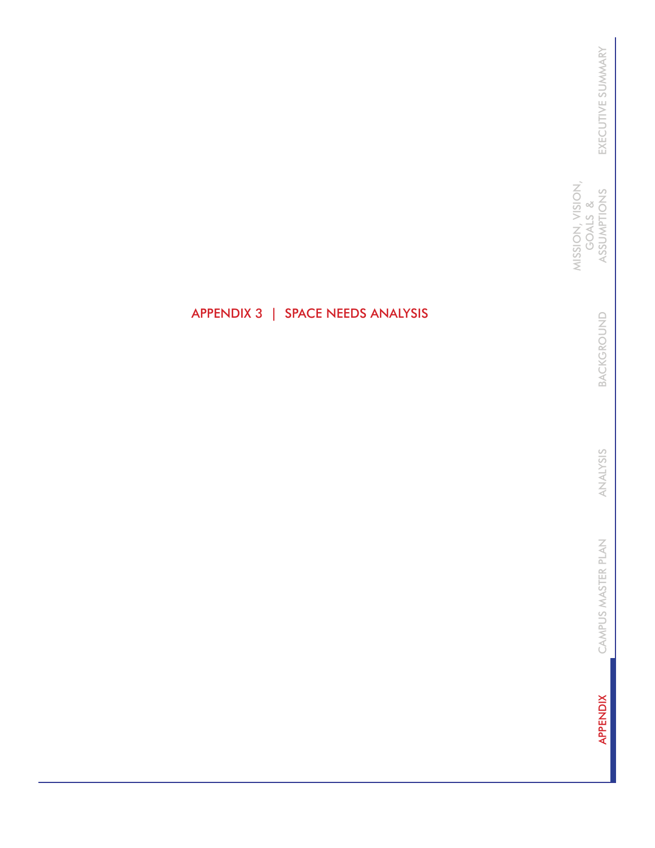MISSION, VISION,<br>GOALS &<br>ASSUMPTIONS MISSION, VISION, ASSUMPTIONS GOALS &

> BACKGROUND BACKGROUND

ANALYSIS ANALYSIS

CAMPUS MASTER PLAN CAMPUS MASTER PLAN

**APPENDIX** APPENDIX

## APPENDIX 3 | SPACE NEEDS ANALYSIS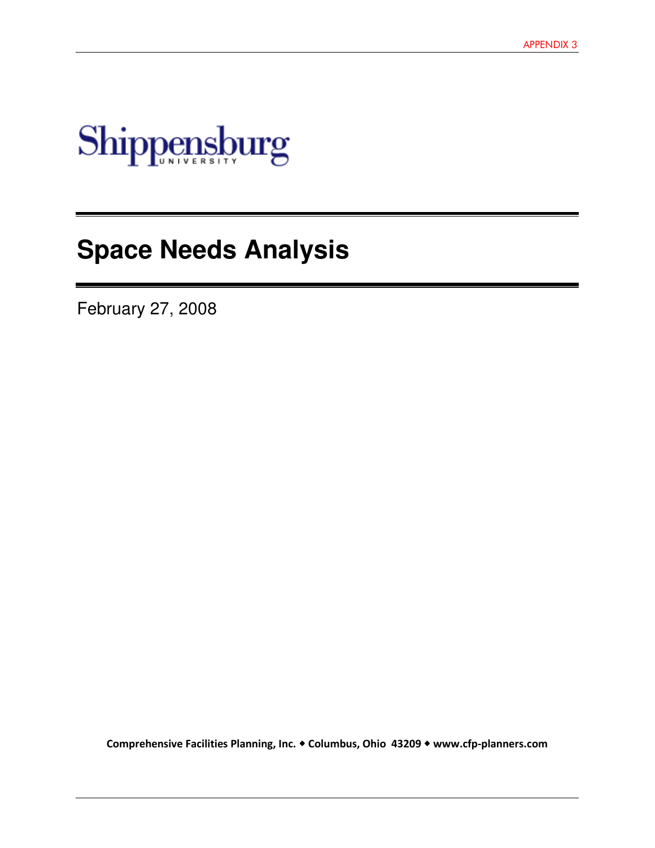

# **Space Needs Analysis**

February 27, 2008

Comprehensive Facilities Planning, Inc. • Columbus, Ohio 43209 • www.cfp-planners.com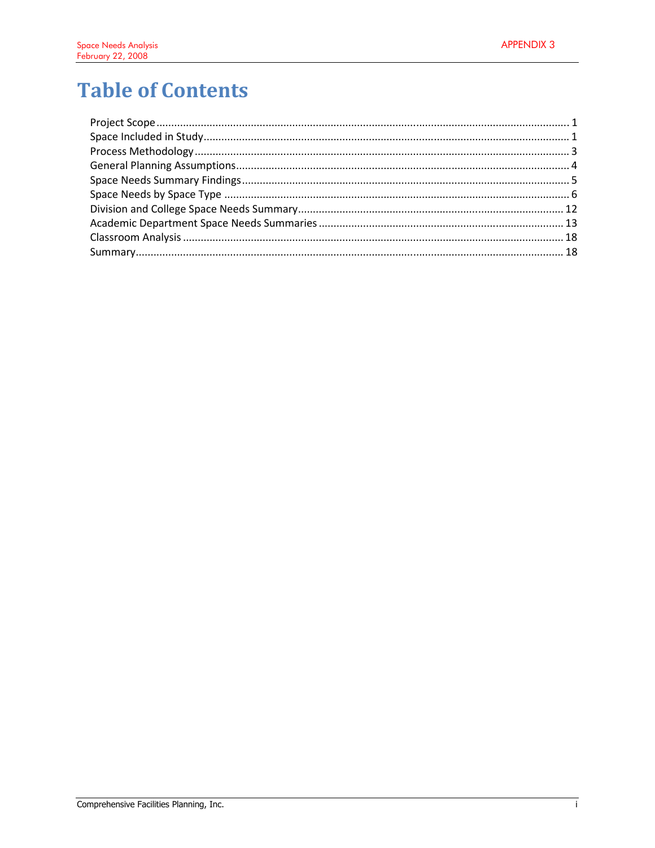## **Table of Contents**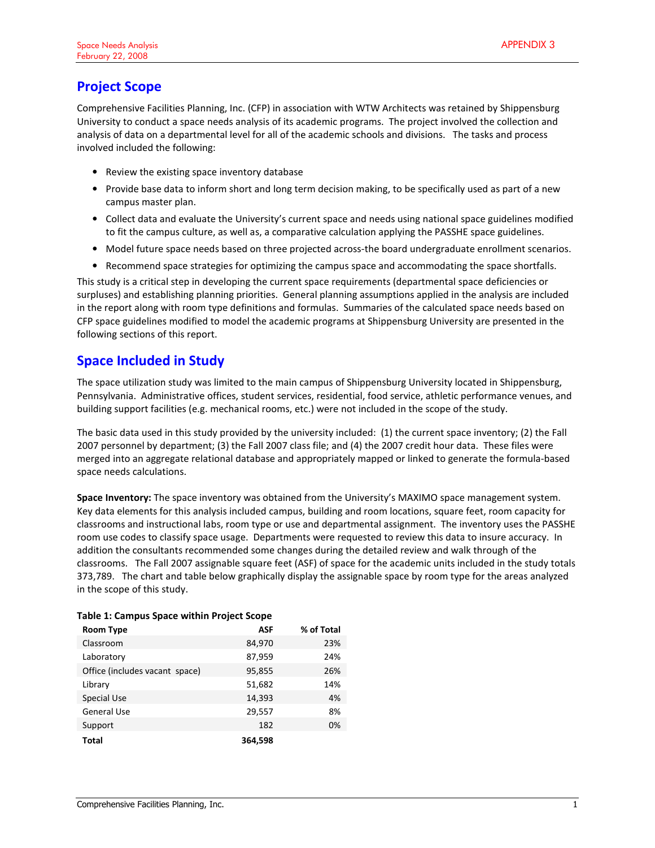## Project Scope

Comprehensive Facilities Planning, Inc. (CFP) in association with WTW Architects was retained by Shippensburg University to conduct a space needs analysis of its academic programs. The project involved the collection and analysis of data on a departmental level for all of the academic schools and divisions. The tasks and process involved included the following:

- Review the existing space inventory database
- Provide base data to inform short and long term decision making, to be specifically used as part of a new campus master plan.
- Collect data and evaluate the University's current space and needs using national space guidelines modified to fit the campus culture, as well as, a comparative calculation applying the PASSHE space guidelines.
- Model future space needs based on three projected across-the board undergraduate enrollment scenarios.
- Recommend space strategies for optimizing the campus space and accommodating the space shortfalls.

This study is a critical step in developing the current space requirements (departmental space deficiencies or surpluses) and establishing planning priorities. General planning assumptions applied in the analysis are included in the report along with room type definitions and formulas. Summaries of the calculated space needs based on CFP space guidelines modified to model the academic programs at Shippensburg University are presented in the following sections of this report.

## Space Included in Study

The space utilization study was limited to the main campus of Shippensburg University located in Shippensburg, Pennsylvania. Administrative offices, student services, residential, food service, athletic performance venues, and building support facilities (e.g. mechanical rooms, etc.) were not included in the scope of the study.

The basic data used in this study provided by the university included: (1) the current space inventory; (2) the Fall 2007 personnel by department; (3) the Fall 2007 class file; and (4) the 2007 credit hour data. These files were merged into an aggregate relational database and appropriately mapped or linked to generate the formula-based space needs calculations.

Space Inventory: The space inventory was obtained from the University's MAXIMO space management system. Key data elements for this analysis included campus, building and room locations, square feet, room capacity for classrooms and instructional labs, room type or use and departmental assignment. The inventory uses the PASSHE room use codes to classify space usage. Departments were requested to review this data to insure accuracy. In addition the consultants recommended some changes during the detailed review and walk through of the classrooms. The Fall 2007 assignable square feet (ASF) of space for the academic units included in the study totals 373,789. The chart and table below graphically display the assignable space by room type for the areas analyzed in the scope of this study.

| Room Type                      | ASF     | % of Total |
|--------------------------------|---------|------------|
| Classroom                      | 84,970  | 23%        |
| Laboratory                     | 87,959  | 24%        |
| Office (includes vacant space) | 95,855  | 26%        |
| Library                        | 51,682  | 14%        |
| Special Use                    | 14,393  | 4%         |
| General Use                    | 29,557  | 8%         |
| Support                        | 182     | 0%         |
| Total                          | 364.598 |            |

#### Table 1: Campus Space within Project Scope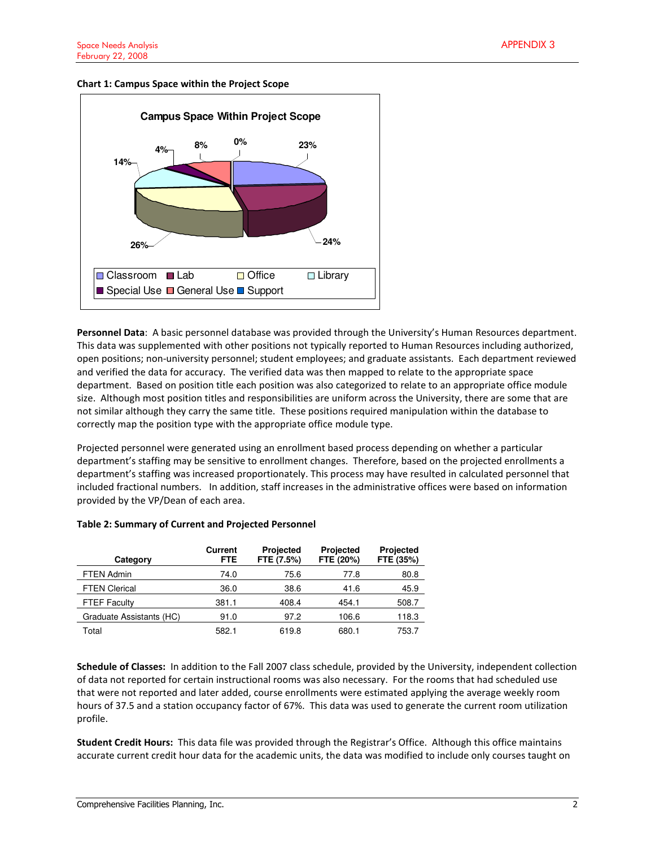



Personnel Data: A basic personnel database was provided through the University's Human Resources department. This data was supplemented with other positions not typically reported to Human Resources including authorized, open positions; non-university personnel; student employees; and graduate assistants. Each department reviewed and verified the data for accuracy. The verified data was then mapped to relate to the appropriate space department. Based on position title each position was also categorized to relate to an appropriate office module size. Although most position titles and responsibilities are uniform across the University, there are some that are not similar although they carry the same title. These positions required manipulation within the database to correctly map the position type with the appropriate office module type.

Projected personnel were generated using an enrollment based process depending on whether a particular department's staffing may be sensitive to enrollment changes. Therefore, based on the projected enrollments a department's staffing was increased proportionately. This process may have resulted in calculated personnel that included fractional numbers. In addition, staff increases in the administrative offices were based on information provided by the VP/Dean of each area.

| Category                 | Current<br><b>FTE</b> | <b>Projected</b><br>FTE (7.5%) | Projected<br>FTE (20%) | <b>Projected</b><br>FTE (35%) |
|--------------------------|-----------------------|--------------------------------|------------------------|-------------------------------|
| <b>FTEN Admin</b>        | 74.0                  | 75.6                           | 77.8                   | 80.8                          |
| <b>FTEN Clerical</b>     | 36.0                  | 38.6                           | 41.6                   | 45.9                          |
| <b>FTEF Faculty</b>      | 381.1                 | 408.4                          | 454.1                  | 508.7                         |
| Graduate Assistants (HC) | 91.0                  | 97.2                           | 106.6                  | 118.3                         |
| Total                    | 582.1                 | 619.8                          | 680.1                  | 753.7                         |

#### Table 2: Summary of Current and Projected Personnel

Schedule of Classes: In addition to the Fall 2007 class schedule, provided by the University, independent collection of data not reported for certain instructional rooms was also necessary. For the rooms that had scheduled use that were not reported and later added, course enrollments were estimated applying the average weekly room hours of 37.5 and a station occupancy factor of 67%. This data was used to generate the current room utilization profile.

Student Credit Hours: This data file was provided through the Registrar's Office. Although this office maintains accurate current credit hour data for the academic units, the data was modified to include only courses taught on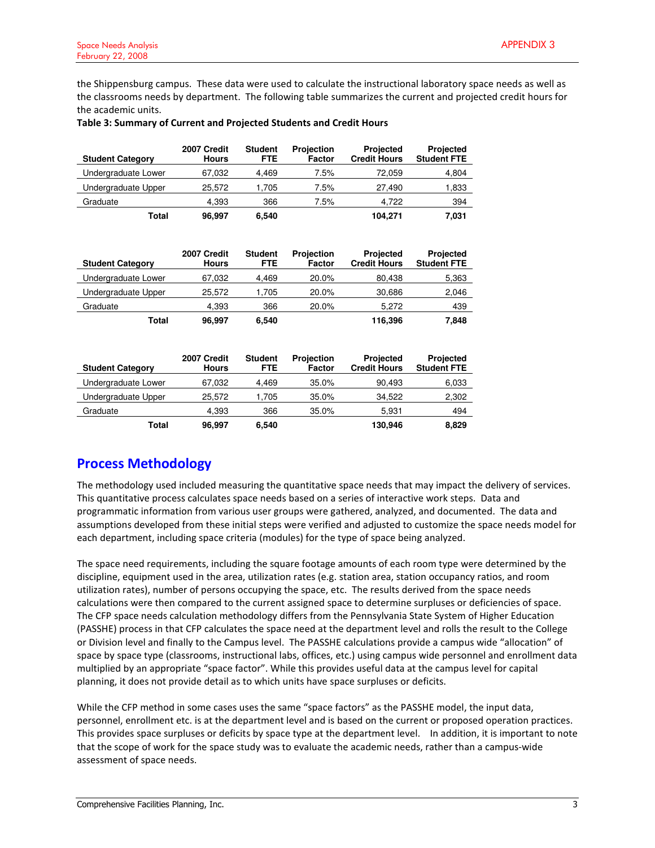the Shippensburg campus. These data were used to calculate the instructional laboratory space needs as well as the classrooms needs by department. The following table summarizes the current and projected credit hours for the academic units.

#### Table 3: Summary of Current and Projected Students and Credit Hours

| <b>Student Category</b> | 2007 Credit<br>Hours | <b>Student</b><br><b>FTE</b> | <b>Projection</b><br>Factor | <b>Projected</b><br><b>Credit Hours</b> | <b>Projected</b><br><b>Student FTE</b> |
|-------------------------|----------------------|------------------------------|-----------------------------|-----------------------------------------|----------------------------------------|
| Undergraduate Lower     | 67,032               | 4.469                        | 7.5%                        | 72.059                                  | 4,804                                  |
| Undergraduate Upper     | 25.572               | 1.705                        | 7.5%                        | 27.490                                  | 1,833                                  |
| Graduate                | 4.393                | 366                          | 7.5%                        | 4.722                                   | 394                                    |
| Total                   | 96,997               | 6,540                        |                             | 104.271                                 | 7,031                                  |

| <b>Student Category</b> | 2007 Credit<br><b>Hours</b> | <b>Student</b><br><b>FTE</b> | <b>Projection</b><br>Factor | <b>Projected</b><br><b>Credit Hours</b> | <b>Projected</b><br><b>Student FTE</b> |
|-------------------------|-----------------------------|------------------------------|-----------------------------|-----------------------------------------|----------------------------------------|
| Undergraduate Lower     | 67,032                      | 4.469                        | 20.0%                       | 80.438                                  | 5,363                                  |
| Undergraduate Upper     | 25.572                      | 1.705                        | 20.0%                       | 30.686                                  | 2,046                                  |
| Graduate                | 4.393                       | 366                          | 20.0%                       | 5.272                                   | 439                                    |
| Total                   | 96,997                      | 6.540                        |                             | 116,396                                 | 7,848                                  |

| <b>Student Category</b> | 2007 Credit<br>Hours | <b>Student</b><br><b>FTE</b> | <b>Projection</b><br>Factor | <b>Projected</b><br><b>Credit Hours</b> | <b>Projected</b><br><b>Student FTE</b> |
|-------------------------|----------------------|------------------------------|-----------------------------|-----------------------------------------|----------------------------------------|
| Undergraduate Lower     | 67,032               | 4.469                        | 35.0%                       | 90.493                                  | 6,033                                  |
| Undergraduate Upper     | 25.572               | 1.705                        | 35.0%                       | 34.522                                  | 2,302                                  |
| Graduate                | 4.393                | 366                          | 35.0%                       | 5.931                                   | 494                                    |
| Total                   | 96,997               | 6,540                        |                             | 130,946                                 | 8,829                                  |

## Process Methodology

The methodology used included measuring the quantitative space needs that may impact the delivery of services. This quantitative process calculates space needs based on a series of interactive work steps. Data and programmatic information from various user groups were gathered, analyzed, and documented. The data and assumptions developed from these initial steps were verified and adjusted to customize the space needs model for each department, including space criteria (modules) for the type of space being analyzed.

The space need requirements, including the square footage amounts of each room type were determined by the discipline, equipment used in the area, utilization rates (e.g. station area, station occupancy ratios, and room utilization rates), number of persons occupying the space, etc. The results derived from the space needs calculations were then compared to the current assigned space to determine surpluses or deficiencies of space. The CFP space needs calculation methodology differs from the Pennsylvania State System of Higher Education (PASSHE) process in that CFP calculates the space need at the department level and rolls the result to the College or Division level and finally to the Campus level. The PASSHE calculations provide a campus wide "allocation" of space by space type (classrooms, instructional labs, offices, etc.) using campus wide personnel and enrollment data multiplied by an appropriate "space factor". While this provides useful data at the campus level for capital planning, it does not provide detail as to which units have space surpluses or deficits.

While the CFP method in some cases uses the same "space factors" as the PASSHE model, the input data, personnel, enrollment etc. is at the department level and is based on the current or proposed operation practices. This provides space surpluses or deficits by space type at the department level. In addition, it is important to note that the scope of work for the space study was to evaluate the academic needs, rather than a campus-wide assessment of space needs.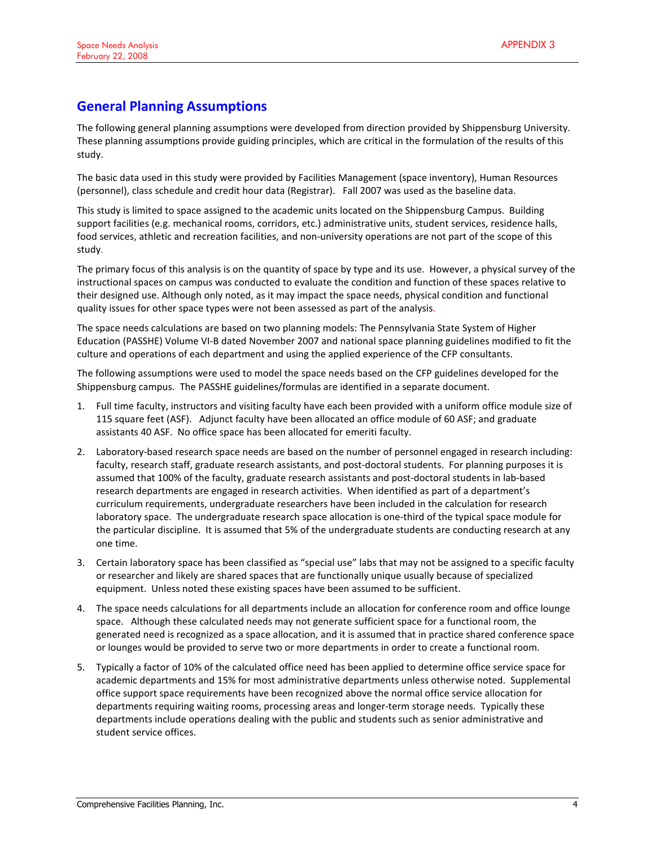## General Planning Assumptions

The following general planning assumptions were developed from direction provided by Shippensburg University. These planning assumptions provide guiding principles, which are critical in the formulation of the results of this study.

The basic data used in this study were provided by Facilities Management (space inventory), Human Resources (personnel), class schedule and credit hour data (Registrar). Fall 2007 was used as the baseline data.

This study is limited to space assigned to the academic units located on the Shippensburg Campus. Building support facilities (e.g. mechanical rooms, corridors, etc.) administrative units, student services, residence halls, food services, athletic and recreation facilities, and non-university operations are not part of the scope of this study.

The primary focus of this analysis is on the quantity of space by type and its use. However, a physical survey of the instructional spaces on campus was conducted to evaluate the condition and function of these spaces relative to their designed use. Although only noted, as it may impact the space needs, physical condition and functional quality issues for other space types were not been assessed as part of the analysis.

The space needs calculations are based on two planning models: The Pennsylvania State System of Higher Education (PASSHE) Volume VI-B dated November 2007 and national space planning guidelines modified to fit the culture and operations of each department and using the applied experience of the CFP consultants.

The following assumptions were used to model the space needs based on the CFP guidelines developed for the Shippensburg campus. The PASSHE guidelines/formulas are identified in a separate document.

- 1. Full time faculty, instructors and visiting faculty have each been provided with a uniform office module size of 115 square feet (ASF). Adjunct faculty have been allocated an office module of 60 ASF; and graduate assistants 40 ASF. No office space has been allocated for emeriti faculty.
- 2. Laboratory-based research space needs are based on the number of personnel engaged in research including: faculty, research staff, graduate research assistants, and post-doctoral students. For planning purposes it is assumed that 100% of the faculty, graduate research assistants and post-doctoral students in lab-based research departments are engaged in research activities. When identified as part of a department's curriculum requirements, undergraduate researchers have been included in the calculation for research laboratory space. The undergraduate research space allocation is one-third of the typical space module for the particular discipline. It is assumed that 5% of the undergraduate students are conducting research at any one time.
- 3. Certain laboratory space has been classified as "special use" labs that may not be assigned to a specific faculty or researcher and likely are shared spaces that are functionally unique usually because of specialized equipment. Unless noted these existing spaces have been assumed to be sufficient.
- 4. The space needs calculations for all departments include an allocation for conference room and office lounge space. Although these calculated needs may not generate sufficient space for a functional room, the generated need is recognized as a space allocation, and it is assumed that in practice shared conference space or lounges would be provided to serve two or more departments in order to create a functional room.
- 5. Typically a factor of 10% of the calculated office need has been applied to determine office service space for academic departments and 15% for most administrative departments unless otherwise noted. Supplemental office support space requirements have been recognized above the normal office service allocation for departments requiring waiting rooms, processing areas and longer-term storage needs. Typically these departments include operations dealing with the public and students such as senior administrative and student service offices.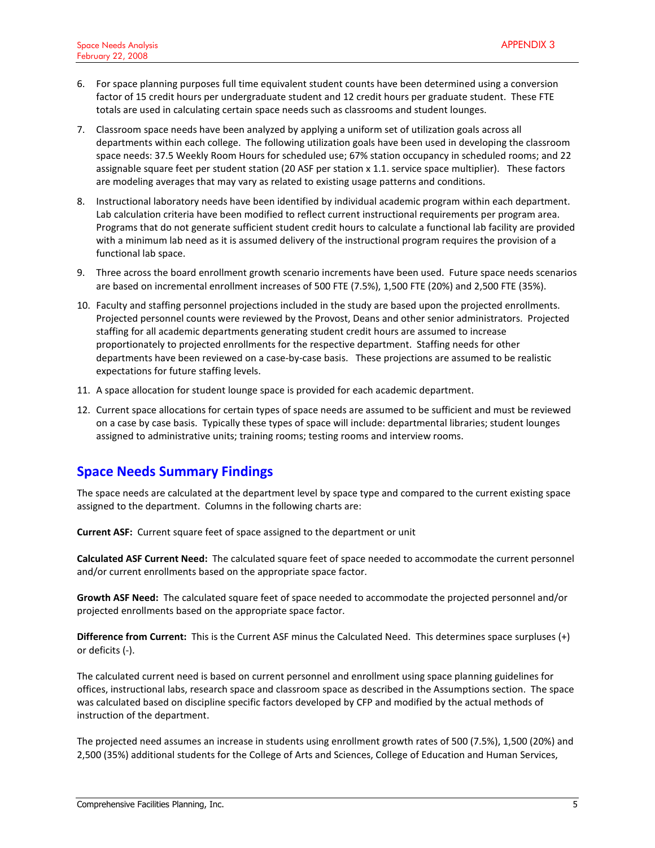- 6. For space planning purposes full time equivalent student counts have been determined using a conversion factor of 15 credit hours per undergraduate student and 12 credit hours per graduate student. These FTE totals are used in calculating certain space needs such as classrooms and student lounges.
- 7. Classroom space needs have been analyzed by applying a uniform set of utilization goals across all departments within each college. The following utilization goals have been used in developing the classroom space needs: 37.5 Weekly Room Hours for scheduled use; 67% station occupancy in scheduled rooms; and 22 assignable square feet per student station (20 ASF per station x 1.1. service space multiplier). These factors are modeling averages that may vary as related to existing usage patterns and conditions.
- 8. Instructional laboratory needs have been identified by individual academic program within each department. Lab calculation criteria have been modified to reflect current instructional requirements per program area. Programs that do not generate sufficient student credit hours to calculate a functional lab facility are provided with a minimum lab need as it is assumed delivery of the instructional program requires the provision of a functional lab space.
- 9. Three across the board enrollment growth scenario increments have been used. Future space needs scenarios are based on incremental enrollment increases of 500 FTE (7.5%), 1,500 FTE (20%) and 2,500 FTE (35%).
- 10. Faculty and staffing personnel projections included in the study are based upon the projected enrollments. Projected personnel counts were reviewed by the Provost, Deans and other senior administrators. Projected staffing for all academic departments generating student credit hours are assumed to increase proportionately to projected enrollments for the respective department. Staffing needs for other departments have been reviewed on a case-by-case basis. These projections are assumed to be realistic expectations for future staffing levels.
- 11. A space allocation for student lounge space is provided for each academic department.
- 12. Current space allocations for certain types of space needs are assumed to be sufficient and must be reviewed on a case by case basis. Typically these types of space will include: departmental libraries; student lounges assigned to administrative units; training rooms; testing rooms and interview rooms.

## Space Needs Summary Findings

The space needs are calculated at the department level by space type and compared to the current existing space assigned to the department. Columns in the following charts are:

Current ASF: Current square feet of space assigned to the department or unit

Calculated ASF Current Need: The calculated square feet of space needed to accommodate the current personnel and/or current enrollments based on the appropriate space factor.

Growth ASF Need: The calculated square feet of space needed to accommodate the projected personnel and/or projected enrollments based on the appropriate space factor.

Difference from Current: This is the Current ASF minus the Calculated Need. This determines space surpluses (+) or deficits (-).

The calculated current need is based on current personnel and enrollment using space planning guidelines for offices, instructional labs, research space and classroom space as described in the Assumptions section. The space was calculated based on discipline specific factors developed by CFP and modified by the actual methods of instruction of the department.

The projected need assumes an increase in students using enrollment growth rates of 500 (7.5%), 1,500 (20%) and 2,500 (35%) additional students for the College of Arts and Sciences, College of Education and Human Services,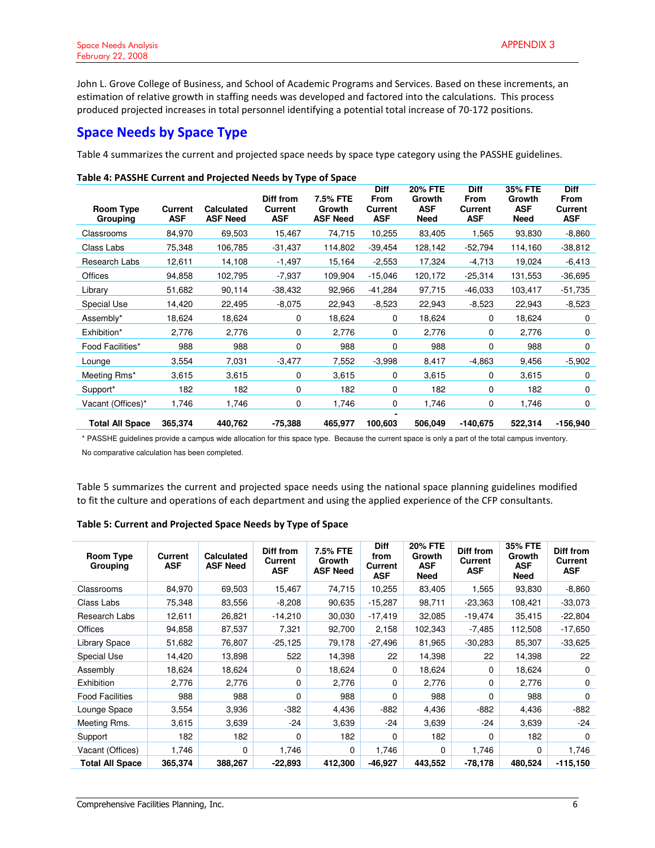John L. Grove College of Business, and School of Academic Programs and Services. Based on these increments, an estimation of relative growth in staffing needs was developed and factored into the calculations. This process produced projected increases in total personnel identifying a potential total increase of 70-172 positions.

## Space Needs by Space Type

Table 4 summarizes the current and projected space needs by space type category using the PASSHE guidelines.

| <b>Room Type</b><br>Grouping | Current<br><b>ASF</b> | <b>Calculated</b><br><b>ASF Need</b> | Diff from<br><b>Current</b><br><b>ASF</b> | 7.5% FTE<br>Growth<br><b>ASF Need</b> | <b>Diff</b><br><b>From</b><br>Current<br><b>ASF</b> | <b>20% FTE</b><br>Growth<br>ASF<br><b>Need</b> | <b>Diff</b><br><b>From</b><br><b>Current</b><br><b>ASF</b> | 35% FTE<br>Growth<br><b>ASF</b><br><b>Need</b> | <b>Diff</b><br><b>From</b><br>Current<br><b>ASF</b> |
|------------------------------|-----------------------|--------------------------------------|-------------------------------------------|---------------------------------------|-----------------------------------------------------|------------------------------------------------|------------------------------------------------------------|------------------------------------------------|-----------------------------------------------------|
| Classrooms                   | 84,970                | 69,503                               | 15,467                                    | 74,715                                | 10,255                                              | 83,405                                         | 1,565                                                      | 93,830                                         | $-8,860$                                            |
| Class Labs                   | 75,348                | 106,785                              | $-31,437$                                 | 114,802                               | $-39,454$                                           | 128,142                                        | $-52,794$                                                  | 114,160                                        | $-38,812$                                           |
| Research Labs                | 12,611                | 14,108                               | $-1,497$                                  | 15,164                                | $-2,553$                                            | 17,324                                         | $-4,713$                                                   | 19,024                                         | $-6,413$                                            |
| Offices                      | 94,858                | 102,795                              | $-7,937$                                  | 109,904                               | $-15,046$                                           | 120,172                                        | $-25,314$                                                  | 131,553                                        | $-36,695$                                           |
| Library                      | 51,682                | 90,114                               | $-38,432$                                 | 92,966                                | -41,284                                             | 97,715                                         | $-46,033$                                                  | 103,417                                        | $-51,735$                                           |
| Special Use                  | 14,420                | 22,495                               | $-8,075$                                  | 22,943                                | $-8,523$                                            | 22,943                                         | $-8,523$                                                   | 22,943                                         | $-8,523$                                            |
| Assembly*                    | 18,624                | 18,624                               | 0                                         | 18,624                                | 0                                                   | 18,624                                         | 0                                                          | 18,624                                         | 0                                                   |
| Exhibition*                  | 2,776                 | 2,776                                | 0                                         | 2,776                                 | 0                                                   | 2,776                                          | $\mathbf 0$                                                | 2,776                                          | 0                                                   |
| Food Facilities*             | 988                   | 988                                  | 0                                         | 988                                   | 0                                                   | 988                                            | 0                                                          | 988                                            | $\Omega$                                            |
| Lounge                       | 3,554                 | 7,031                                | $-3,477$                                  | 7,552                                 | $-3,998$                                            | 8,417                                          | $-4,863$                                                   | 9,456                                          | $-5,902$                                            |
| Meeting Rms*                 | 3,615                 | 3,615                                | 0                                         | 3,615                                 | 0                                                   | 3,615                                          | 0                                                          | 3,615                                          | 0                                                   |
| Support*                     | 182                   | 182                                  | 0                                         | 182                                   | 0                                                   | 182                                            | 0                                                          | 182                                            | 0                                                   |
| Vacant (Offices)*            | 1,746                 | 1,746                                | 0                                         | 1,746                                 | 0                                                   | 1,746                                          | 0                                                          | 1,746                                          | 0                                                   |
| <b>Total All Space</b>       | 365,374               | 440,762                              | $-75,388$                                 | 465,977                               | 100,603                                             | 506,049                                        | $-140,675$                                                 | 522,314                                        | $-156,940$                                          |

## Table 4: PASSHE Current and Projected Needs by Type of Space

\* PASSHE guidelines provide a campus wide allocation for this space type. Because the current space is only a part of the total campus inventory.

No comparative calculation has been completed.

Table 5 summarizes the current and projected space needs using the national space planning guidelines modified to fit the culture and operations of each department and using the applied experience of the CFP consultants.

| <b>Room Type</b><br>Grouping | <b>Current</b><br><b>ASF</b> | <b>Calculated</b><br><b>ASF Need</b> | Diff from<br><b>Current</b><br><b>ASF</b> | 7.5% FTE<br>Growth<br><b>ASF Need</b> | <b>Diff</b><br>from<br><b>Current</b><br><b>ASF</b> | <b>20% FTE</b><br>Growth<br><b>ASF</b><br><b>Need</b> | Diff from<br>Current<br><b>ASF</b> | <b>35% FTE</b><br>Growth<br><b>ASF</b><br><b>Need</b> | Diff from<br><b>Current</b><br><b>ASF</b> |
|------------------------------|------------------------------|--------------------------------------|-------------------------------------------|---------------------------------------|-----------------------------------------------------|-------------------------------------------------------|------------------------------------|-------------------------------------------------------|-------------------------------------------|
| Classrooms                   | 84,970                       | 69,503                               | 15,467                                    | 74,715                                | 10,255                                              | 83,405                                                | 1,565                              | 93,830                                                | $-8,860$                                  |
| Class Labs                   | 75,348                       | 83,556                               | $-8,208$                                  | 90,635                                | $-15,287$                                           | 98,711                                                | -23,363                            | 108,421                                               | $-33,073$                                 |
| Research Labs                | 12,611                       | 26,821                               | $-14,210$                                 | 30,030                                | $-17,419$                                           | 32,085                                                | $-19,474$                          | 35,415                                                | $-22,804$                                 |
| Offices                      | 94,858                       | 87,537                               | 7,321                                     | 92,700                                | 2,158                                               | 102,343                                               | $-7,485$                           | 112,508                                               | $-17,650$                                 |
| <b>Library Space</b>         | 51,682                       | 76,807                               | $-25,125$                                 | 79,178                                | -27,496                                             | 81,965                                                | -30,283                            | 85,307                                                | $-33,625$                                 |
| Special Use                  | 14,420                       | 13,898                               | 522                                       | 14,398                                | 22                                                  | 14,398                                                | 22                                 | 14,398                                                | 22                                        |
| Assembly                     | 18,624                       | 18,624                               | 0                                         | 18,624                                | $\mathbf 0$                                         | 18,624                                                | 0                                  | 18,624                                                | 0                                         |
| <b>Exhibition</b>            | 2,776                        | 2,776                                | 0                                         | 2,776                                 | 0                                                   | 2,776                                                 | $\Omega$                           | 2,776                                                 | 0                                         |
| <b>Food Facilities</b>       | 988                          | 988                                  | 0                                         | 988                                   | 0                                                   | 988                                                   | $\Omega$                           | 988                                                   | 0                                         |
| Lounge Space                 | 3,554                        | 3,936                                | $-382$                                    | 4,436                                 | $-882$                                              | 4,436                                                 | $-882$                             | 4,436                                                 | $-882$                                    |
| Meeting Rms.                 | 3,615                        | 3,639                                | $-24$                                     | 3,639                                 | $-24$                                               | 3,639                                                 | $-24$                              | 3,639                                                 | $-24$                                     |
| Support                      | 182                          | 182                                  | 0                                         | 182                                   | $\Omega$                                            | 182                                                   | 0                                  | 182                                                   | $\Omega$                                  |
| Vacant (Offices)             | 1,746                        | $\Omega$                             | 1,746                                     | $\Omega$                              | 1,746                                               | 0                                                     | 1,746                              | 0                                                     | 1,746                                     |
| <b>Total All Space</b>       | 365,374                      | 388,267                              | $-22,893$                                 | 412,300                               | -46,927                                             | 443,552                                               | -78,178                            | 480,524                                               | $-115,150$                                |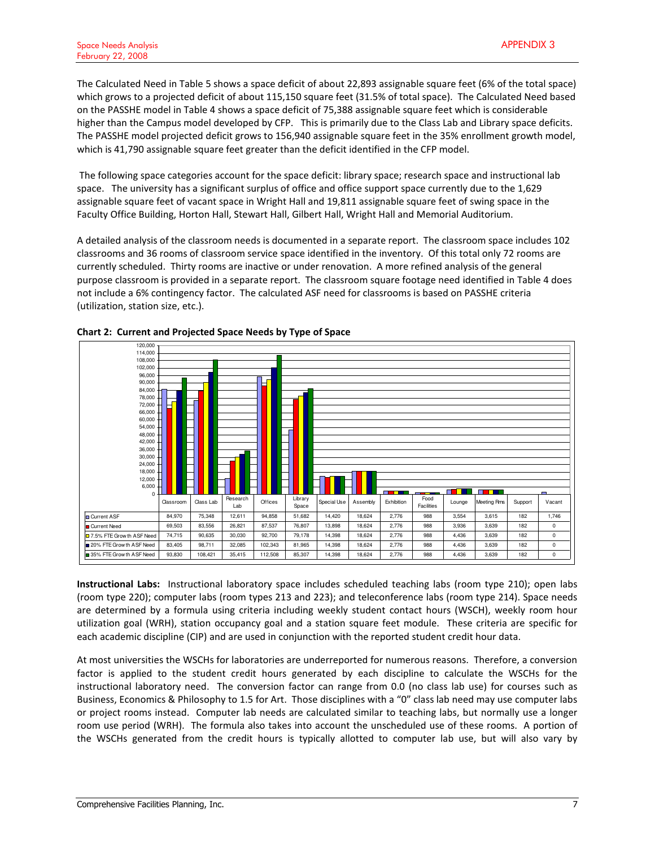The Calculated Need in Table 5 shows a space deficit of about 22,893 assignable square feet (6% of the total space) which grows to a projected deficit of about 115,150 square feet (31.5% of total space). The Calculated Need based on the PASSHE model in Table 4 shows a space deficit of 75,388 assignable square feet which is considerable higher than the Campus model developed by CFP. This is primarily due to the Class Lab and Library space deficits. The PASSHE model projected deficit grows to 156,940 assignable square feet in the 35% enrollment growth model, which is 41,790 assignable square feet greater than the deficit identified in the CFP model.

 The following space categories account for the space deficit: library space; research space and instructional lab space. The university has a significant surplus of office and office support space currently due to the 1,629 assignable square feet of vacant space in Wright Hall and 19,811 assignable square feet of swing space in the Faculty Office Building, Horton Hall, Stewart Hall, Gilbert Hall, Wright Hall and Memorial Auditorium.

A detailed analysis of the classroom needs is documented in a separate report. The classroom space includes 102 classrooms and 36 rooms of classroom service space identified in the inventory. Of this total only 72 rooms are currently scheduled. Thirty rooms are inactive or under renovation. A more refined analysis of the general purpose classroom is provided in a separate report. The classroom square footage need identified in Table 4 does not include a 6% contingency factor. The calculated ASF need for classrooms is based on PASSHE criteria (utilization, station size, etc.).





Instructional Labs: Instructional laboratory space includes scheduled teaching labs (room type 210); open labs (room type 220); computer labs (room types 213 and 223); and teleconference labs (room type 214). Space needs are determined by a formula using criteria including weekly student contact hours (WSCH), weekly room hour utilization goal (WRH), station occupancy goal and a station square feet module. These criteria are specific for each academic discipline (CIP) and are used in conjunction with the reported student credit hour data.

At most universities the WSCHs for laboratories are underreported for numerous reasons. Therefore, a conversion factor is applied to the student credit hours generated by each discipline to calculate the WSCHs for the instructional laboratory need. The conversion factor can range from 0.0 (no class lab use) for courses such as Business, Economics & Philosophy to 1.5 for Art. Those disciplines with a "0" class lab need may use computer labs or project rooms instead. Computer lab needs are calculated similar to teaching labs, but normally use a longer room use period (WRH). The formula also takes into account the unscheduled use of these rooms. A portion of the WSCHs generated from the credit hours is typically allotted to computer lab use, but will also vary by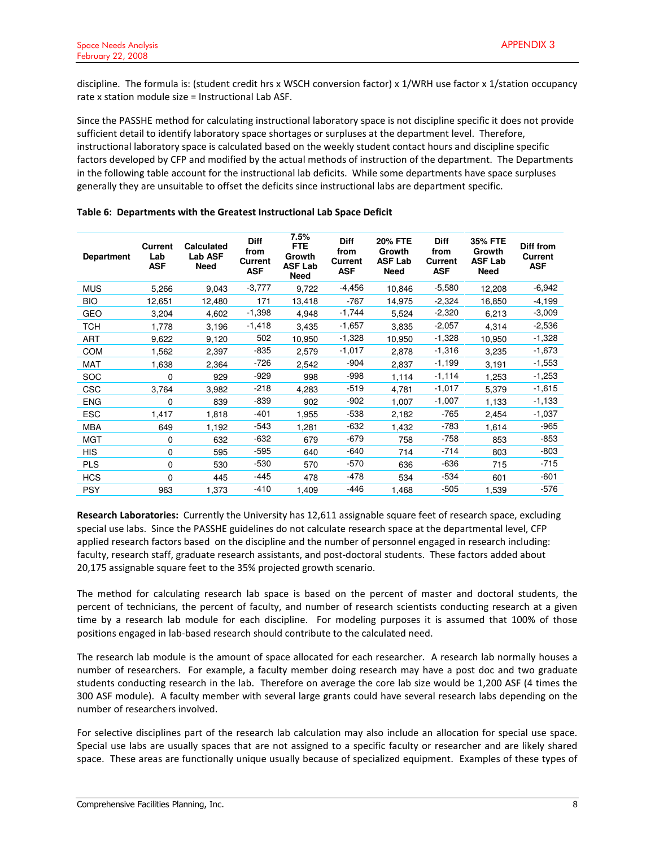discipline. The formula is: (student credit hrs x WSCH conversion factor) x 1/WRH use factor x 1/station occupancy rate x station module size = Instructional Lab ASF.

Since the PASSHE method for calculating instructional laboratory space is not discipline specific it does not provide sufficient detail to identify laboratory space shortages or surpluses at the department level. Therefore, instructional laboratory space is calculated based on the weekly student contact hours and discipline specific factors developed by CFP and modified by the actual methods of instruction of the department. The Departments in the following table account for the instructional lab deficits. While some departments have space surpluses generally they are unsuitable to offset the deficits since instructional labs are department specific.

| <b>Department</b> | <b>Current</b><br>Lab<br><b>ASF</b> | Calculated<br><b>Lab ASF</b><br><b>Need</b> | <b>Diff</b><br>from<br>Current<br><b>ASF</b> | 7.5%<br><b>FTE</b><br>Growth<br><b>ASF Lab</b><br><b>Need</b> | <b>Diff</b><br>from<br><b>Current</b><br><b>ASF</b> | <b>20% FTE</b><br>Growth<br><b>ASF Lab</b><br><b>Need</b> | <b>Diff</b><br>from<br><b>Current</b><br><b>ASF</b> | <b>35% FTE</b><br>Growth<br><b>ASF Lab</b><br><b>Need</b> | Diff from<br><b>Current</b><br><b>ASF</b> |
|-------------------|-------------------------------------|---------------------------------------------|----------------------------------------------|---------------------------------------------------------------|-----------------------------------------------------|-----------------------------------------------------------|-----------------------------------------------------|-----------------------------------------------------------|-------------------------------------------|
| <b>MUS</b>        | 5,266                               | 9,043                                       | $-3,777$                                     | 9,722                                                         | $-4,456$                                            | 10,846                                                    | $-5,580$                                            | 12,208                                                    | $-6,942$                                  |
| BIO               | 12,651                              | 12,480                                      | 171                                          | 13,418                                                        | $-767$                                              | 14,975                                                    | $-2,324$                                            | 16,850                                                    | $-4,199$                                  |
| GEO               | 3,204                               | 4,602                                       | $-1,398$                                     | 4,948                                                         | $-1,744$                                            | 5,524                                                     | $-2,320$                                            | 6,213                                                     | $-3,009$                                  |
| тсн               | 1,778                               | 3,196                                       | $-1,418$                                     | 3,435                                                         | $-1,657$                                            | 3,835                                                     | $-2,057$                                            | 4,314                                                     | $-2,536$                                  |
| ART               | 9,622                               | 9,120                                       | 502                                          | 10,950                                                        | $-1,328$                                            | 10,950                                                    | $-1,328$                                            | 10,950                                                    | $-1,328$                                  |
| <b>COM</b>        | 1,562                               | 2,397                                       | $-835$                                       | 2,579                                                         | $-1,017$                                            | 2,878                                                     | $-1,316$                                            | 3,235                                                     | $-1,673$                                  |
| <b>MAT</b>        | 1,638                               | 2,364                                       | $-726$                                       | 2,542                                                         | $-904$                                              | 2,837                                                     | $-1,199$                                            | 3,191                                                     | $-1,553$                                  |
| <b>SOC</b>        | $\Omega$                            | 929                                         | $-929$                                       | 998                                                           | $-998$                                              | 1,114                                                     | $-1,114$                                            | 1,253                                                     | $-1,253$                                  |
| CSC               | 3,764                               | 3,982                                       | $-218$                                       | 4,283                                                         | $-519$                                              | 4,781                                                     | $-1,017$                                            | 5,379                                                     | $-1,615$                                  |
| <b>ENG</b>        | 0                                   | 839                                         | $-839$                                       | 902                                                           | $-902$                                              | 1,007                                                     | $-1,007$                                            | 1,133                                                     | $-1,133$                                  |
| <b>ESC</b>        | 1,417                               | 1,818                                       | $-401$                                       | 1,955                                                         | $-538$                                              | 2,182                                                     | $-765$                                              | 2,454                                                     | $-1,037$                                  |
| <b>MBA</b>        | 649                                 | 1,192                                       | $-543$                                       | 1,281                                                         | $-632$                                              | 1,432                                                     | $-783$                                              | 1,614                                                     | $-965$                                    |
| <b>MGT</b>        | $\Omega$                            | 632                                         | $-632$                                       | 679                                                           | $-679$                                              | 758                                                       | $-758$                                              | 853                                                       | $-853$                                    |
| <b>HIS</b>        | 0                                   | 595                                         | $-595$                                       | 640                                                           | $-640$                                              | 714                                                       | $-714$                                              | 803                                                       | $-803$                                    |
| <b>PLS</b>        | 0                                   | 530                                         | $-530$                                       | 570                                                           | $-570$                                              | 636                                                       | $-636$                                              | 715                                                       | $-715$                                    |
| <b>HCS</b>        | 0                                   | 445                                         | $-445$                                       | 478                                                           | -478                                                | 534                                                       | $-534$                                              | 601                                                       | $-601$                                    |
| <b>PSY</b>        | 963                                 | 1,373                                       | $-410$                                       | 1,409                                                         | $-446$                                              | 1,468                                                     | $-505$                                              | 1,539                                                     | $-576$                                    |

#### Table 6: Departments with the Greatest Instructional Lab Space Deficit

Research Laboratories: Currently the University has 12,611 assignable square feet of research space, excluding special use labs. Since the PASSHE guidelines do not calculate research space at the departmental level, CFP applied research factors based on the discipline and the number of personnel engaged in research including: faculty, research staff, graduate research assistants, and post-doctoral students. These factors added about 20,175 assignable square feet to the 35% projected growth scenario.

The method for calculating research lab space is based on the percent of master and doctoral students, the percent of technicians, the percent of faculty, and number of research scientists conducting research at a given time by a research lab module for each discipline. For modeling purposes it is assumed that 100% of those positions engaged in lab-based research should contribute to the calculated need.

The research lab module is the amount of space allocated for each researcher. A research lab normally houses a number of researchers. For example, a faculty member doing research may have a post doc and two graduate students conducting research in the lab. Therefore on average the core lab size would be 1,200 ASF (4 times the 300 ASF module). A faculty member with several large grants could have several research labs depending on the number of researchers involved.

For selective disciplines part of the research lab calculation may also include an allocation for special use space. Special use labs are usually spaces that are not assigned to a specific faculty or researcher and are likely shared space. These areas are functionally unique usually because of specialized equipment. Examples of these types of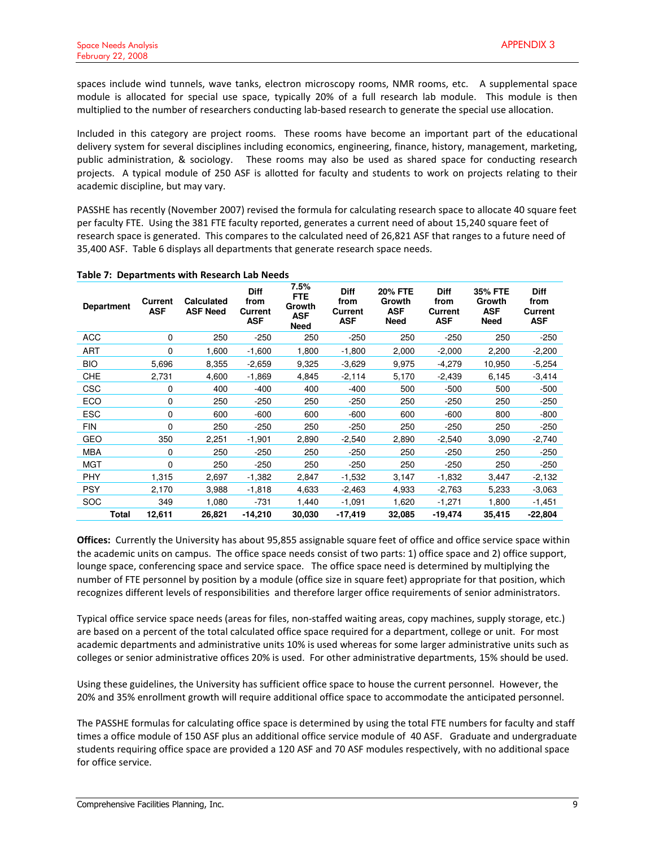spaces include wind tunnels, wave tanks, electron microscopy rooms, NMR rooms, etc. A supplemental space module is allocated for special use space, typically 20% of a full research lab module. This module is then multiplied to the number of researchers conducting lab-based research to generate the special use allocation.

Included in this category are project rooms. These rooms have become an important part of the educational delivery system for several disciplines including economics, engineering, finance, history, management, marketing, public administration, & sociology. These rooms may also be used as shared space for conducting research projects. A typical module of 250 ASF is allotted for faculty and students to work on projects relating to their academic discipline, but may vary.

PASSHE has recently (November 2007) revised the formula for calculating research space to allocate 40 square feet per faculty FTE. Using the 381 FTE faculty reported, generates a current need of about 15,240 square feet of research space is generated. This compares to the calculated need of 26,821 ASF that ranges to a future need of 35,400 ASF. Table 6 displays all departments that generate research space needs.

| <b>Department</b> | <b>Current</b><br><b>ASF</b> | <b>Calculated</b><br><b>ASF Need</b> | <b>Diff</b><br>from<br><b>Current</b><br><b>ASF</b> | 7.5%<br><b>FTE</b><br>Growth<br><b>ASF</b><br><b>Need</b> | <b>Diff</b><br>from<br><b>Current</b><br><b>ASF</b> | <b>20% FTE</b><br>Growth<br><b>ASF</b><br><b>Need</b> | <b>Diff</b><br>from<br>Current<br><b>ASF</b> | 35% FTE<br>Growth<br><b>ASF</b><br>Need | <b>Diff</b><br>from<br><b>Current</b><br><b>ASF</b> |
|-------------------|------------------------------|--------------------------------------|-----------------------------------------------------|-----------------------------------------------------------|-----------------------------------------------------|-------------------------------------------------------|----------------------------------------------|-----------------------------------------|-----------------------------------------------------|
| <b>ACC</b>        | 0                            | 250                                  | $-250$                                              | 250                                                       | $-250$                                              | 250                                                   | $-250$                                       | 250                                     | $-250$                                              |
| ART               | 0                            | 1,600                                | $-1,600$                                            | 1,800                                                     | $-1,800$                                            | 2,000                                                 | $-2,000$                                     | 2,200                                   | $-2,200$                                            |
| <b>BIO</b>        | 5,696                        | 8,355                                | $-2,659$                                            | 9,325                                                     | $-3,629$                                            | 9,975                                                 | $-4,279$                                     | 10,950                                  | $-5,254$                                            |
| <b>CHE</b>        | 2,731                        | 4,600                                | $-1.869$                                            | 4,845                                                     | $-2,114$                                            | 5,170                                                 | $-2,439$                                     | 6,145                                   | $-3,414$                                            |
| CSC               | 0                            | 400                                  | $-400$                                              | 400                                                       | $-400$                                              | 500                                                   | $-500$                                       | 500                                     | $-500$                                              |
| ECO               | 0                            | 250                                  | $-250$                                              | 250                                                       | $-250$                                              | 250                                                   | $-250$                                       | 250                                     | $-250$                                              |
| <b>ESC</b>        | 0                            | 600                                  | $-600$                                              | 600                                                       | $-600$                                              | 600                                                   | $-600$                                       | 800                                     | $-800$                                              |
| <b>FIN</b>        | 0                            | 250                                  | $-250$                                              | 250                                                       | $-250$                                              | 250                                                   | $-250$                                       | 250                                     | $-250$                                              |
| GEO               | 350                          | 2,251                                | $-1,901$                                            | 2,890                                                     | $-2,540$                                            | 2,890                                                 | $-2,540$                                     | 3,090                                   | $-2,740$                                            |
| <b>MBA</b>        | 0                            | 250                                  | $-250$                                              | 250                                                       | $-250$                                              | 250                                                   | $-250$                                       | 250                                     | $-250$                                              |
| <b>MGT</b>        | 0                            | 250                                  | $-250$                                              | 250                                                       | $-250$                                              | 250                                                   | $-250$                                       | 250                                     | $-250$                                              |
| <b>PHY</b>        | 1,315                        | 2,697                                | $-1,382$                                            | 2,847                                                     | $-1,532$                                            | 3,147                                                 | $-1,832$                                     | 3,447                                   | $-2,132$                                            |
| <b>PSY</b>        | 2,170                        | 3,988                                | -1,818                                              | 4,633                                                     | $-2,463$                                            | 4,933                                                 | $-2,763$                                     | 5,233                                   | $-3,063$                                            |
| <b>SOC</b>        | 349                          | 1,080                                | $-731$                                              | 1,440                                                     | $-1,091$                                            | 1,620                                                 | $-1,271$                                     | 1,800                                   | $-1,451$                                            |
| Total             | 12,611                       | 26,821                               | $-14,210$                                           | 30,030                                                    | $-17,419$                                           | 32,085                                                | $-19,474$                                    | 35,415                                  | $-22,804$                                           |

## Table 7: Departments with Research Lab Needs

Offices: Currently the University has about 95,855 assignable square feet of office and office service space within the academic units on campus. The office space needs consist of two parts: 1) office space and 2) office support, lounge space, conferencing space and service space. The office space need is determined by multiplying the number of FTE personnel by position by a module (office size in square feet) appropriate for that position, which recognizes different levels of responsibilities and therefore larger office requirements of senior administrators.

Typical office service space needs (areas for files, non-staffed waiting areas, copy machines, supply storage, etc.) are based on a percent of the total calculated office space required for a department, college or unit. For most academic departments and administrative units 10% is used whereas for some larger administrative units such as colleges or senior administrative offices 20% is used. For other administrative departments, 15% should be used.

Using these guidelines, the University has sufficient office space to house the current personnel. However, the 20% and 35% enrollment growth will require additional office space to accommodate the anticipated personnel.

The PASSHE formulas for calculating office space is determined by using the total FTE numbers for faculty and staff times a office module of 150 ASF plus an additional office service module of 40 ASF. Graduate and undergraduate students requiring office space are provided a 120 ASF and 70 ASF modules respectively, with no additional space for office service.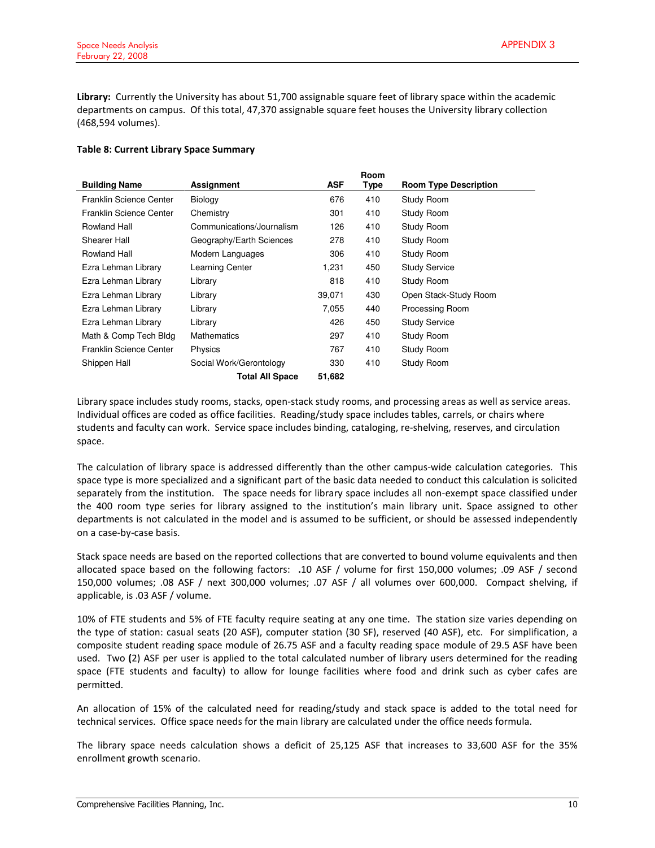Library: Currently the University has about 51,700 assignable square feet of library space within the academic departments on campus. Of this total, 47,370 assignable square feet houses the University library collection (468,594 volumes).

#### Table 8: Current Library Space Summary

|                         |                           |            | Room |                              |
|-------------------------|---------------------------|------------|------|------------------------------|
| <b>Building Name</b>    | Assignment                | <b>ASF</b> | Type | <b>Room Type Description</b> |
| Franklin Science Center | Biology                   | 676        | 410  | Study Room                   |
| Franklin Science Center | Chemistry                 | 301        | 410  | Study Room                   |
| Rowland Hall            | Communications/Journalism | 126        | 410  | Study Room                   |
| Shearer Hall            | Geography/Earth Sciences  | 278        | 410  | Study Room                   |
| Rowland Hall            | Modern Languages          | 306        | 410  | Study Room                   |
| Ezra Lehman Library     | Learning Center           | 1,231      | 450  | <b>Study Service</b>         |
| Ezra Lehman Library     | Library                   | 818        | 410  | Study Room                   |
| Ezra Lehman Library     | Library                   | 39,071     | 430  | Open Stack-Study Room        |
| Ezra Lehman Library     | Library                   | 7,055      | 440  | Processing Room              |
| Ezra Lehman Library     | Library                   | 426        | 450  | <b>Study Service</b>         |
| Math & Comp Tech Bldg   | <b>Mathematics</b>        | 297        | 410  | Study Room                   |
| Franklin Science Center | <b>Physics</b>            | 767        | 410  | Study Room                   |
| Shippen Hall            | Social Work/Gerontology   | 330        | 410  | Study Room                   |
|                         | <b>Total All Space</b>    | 51,682     |      |                              |

Library space includes study rooms, stacks, open-stack study rooms, and processing areas as well as service areas. Individual offices are coded as office facilities. Reading/study space includes tables, carrels, or chairs where students and faculty can work. Service space includes binding, cataloging, re-shelving, reserves, and circulation space.

The calculation of library space is addressed differently than the other campus-wide calculation categories. This space type is more specialized and a significant part of the basic data needed to conduct this calculation is solicited separately from the institution. The space needs for library space includes all non-exempt space classified under the 400 room type series for library assigned to the institution's main library unit. Space assigned to other departments is not calculated in the model and is assumed to be sufficient, or should be assessed independently on a case-by-case basis.

Stack space needs are based on the reported collections that are converted to bound volume equivalents and then allocated space based on the following factors: .10 ASF / volume for first 150,000 volumes; .09 ASF / second 150,000 volumes; .08 ASF / next 300,000 volumes; .07 ASF / all volumes over 600,000. Compact shelving, if applicable, is .03 ASF / volume.

10% of FTE students and 5% of FTE faculty require seating at any one time. The station size varies depending on the type of station: casual seats (20 ASF), computer station (30 SF), reserved (40 ASF), etc. For simplification, a composite student reading space module of 26.75 ASF and a faculty reading space module of 29.5 ASF have been used. Two (2) ASF per user is applied to the total calculated number of library users determined for the reading space (FTE students and faculty) to allow for lounge facilities where food and drink such as cyber cafes are permitted.

An allocation of 15% of the calculated need for reading/study and stack space is added to the total need for technical services. Office space needs for the main library are calculated under the office needs formula.

The library space needs calculation shows a deficit of 25,125 ASF that increases to 33,600 ASF for the 35% enrollment growth scenario.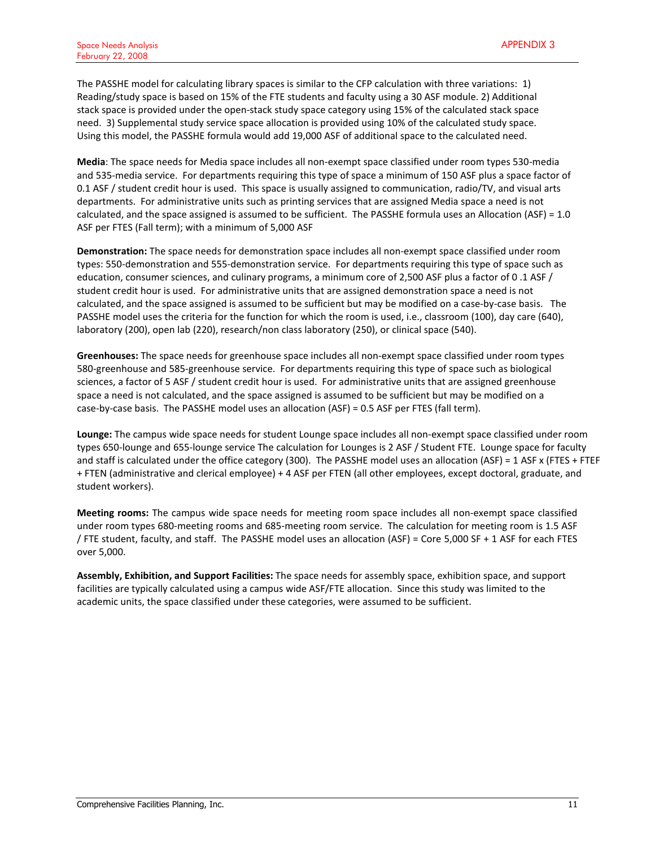The PASSHE model for calculating library spaces is similar to the CFP calculation with three variations: 1) Reading/study space is based on 15% of the FTE students and faculty using a 30 ASF module. 2) Additional stack space is provided under the open-stack study space category using 15% of the calculated stack space need. 3) Supplemental study service space allocation is provided using 10% of the calculated study space. Using this model, the PASSHE formula would add 19,000 ASF of additional space to the calculated need.

Media: The space needs for Media space includes all non-exempt space classified under room types 530-media and 535-media service. For departments requiring this type of space a minimum of 150 ASF plus a space factor of 0.1 ASF / student credit hour is used. This space is usually assigned to communication, radio/TV, and visual arts departments. For administrative units such as printing services that are assigned Media space a need is not calculated, and the space assigned is assumed to be sufficient. The PASSHE formula uses an Allocation (ASF) = 1.0 ASF per FTES (Fall term); with a minimum of 5,000 ASF

Demonstration: The space needs for demonstration space includes all non-exempt space classified under room types: 550-demonstration and 555-demonstration service. For departments requiring this type of space such as education, consumer sciences, and culinary programs, a minimum core of 2,500 ASF plus a factor of 0 .1 ASF / student credit hour is used. For administrative units that are assigned demonstration space a need is not calculated, and the space assigned is assumed to be sufficient but may be modified on a case-by-case basis. The PASSHE model uses the criteria for the function for which the room is used, i.e., classroom (100), day care (640), laboratory (200), open lab (220), research/non class laboratory (250), or clinical space (540).

Greenhouses: The space needs for greenhouse space includes all non-exempt space classified under room types 580-greenhouse and 585-greenhouse service. For departments requiring this type of space such as biological sciences, a factor of 5 ASF / student credit hour is used. For administrative units that are assigned greenhouse space a need is not calculated, and the space assigned is assumed to be sufficient but may be modified on a case-by-case basis. The PASSHE model uses an allocation (ASF) = 0.5 ASF per FTES (fall term).

Lounge: The campus wide space needs for student Lounge space includes all non-exempt space classified under room types 650-lounge and 655-lounge service The calculation for Lounges is 2 ASF / Student FTE. Lounge space for faculty and staff is calculated under the office category (300). The PASSHE model uses an allocation (ASF) = 1 ASF x (FTES + FTEF + FTEN (administrative and clerical employee) + 4 ASF per FTEN (all other employees, except doctoral, graduate, and student workers).

Meeting rooms: The campus wide space needs for meeting room space includes all non-exempt space classified under room types 680-meeting rooms and 685-meeting room service. The calculation for meeting room is 1.5 ASF / FTE student, faculty, and staff. The PASSHE model uses an allocation (ASF) = Core 5,000 SF + 1 ASF for each FTES over 5,000.

Assembly, Exhibition, and Support Facilities: The space needs for assembly space, exhibition space, and support facilities are typically calculated using a campus wide ASF/FTE allocation. Since this study was limited to the academic units, the space classified under these categories, were assumed to be sufficient.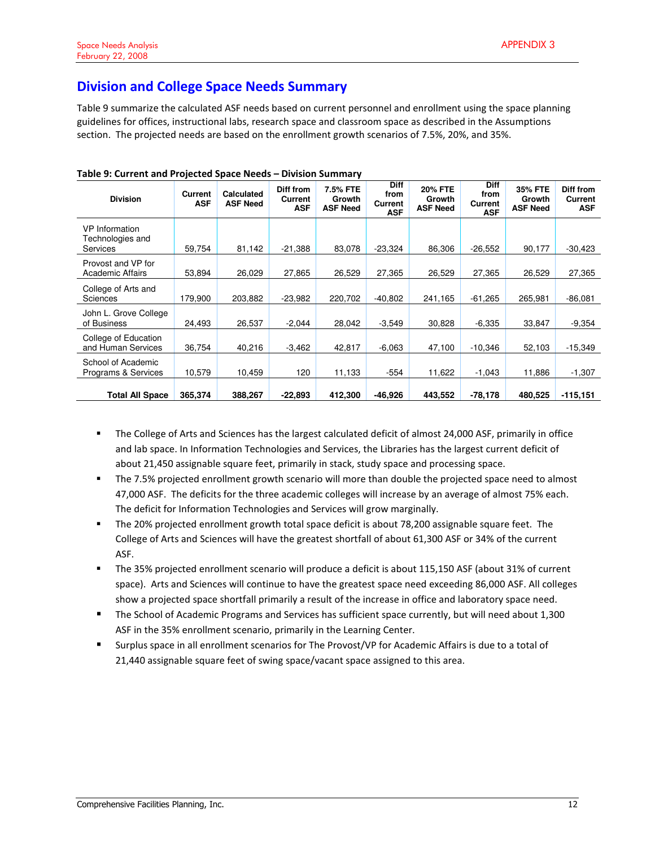## Division and College Space Needs Summary

Table 9 summarize the calculated ASF needs based on current personnel and enrollment using the space planning guidelines for offices, instructional labs, research space and classroom space as described in the Assumptions section. The projected needs are based on the enrollment growth scenarios of 7.5%, 20%, and 35%.

| <b>Division</b>                                       | <b>Current</b><br><b>ASF</b> | <b>Calculated</b><br><b>ASF Need</b> | Diff from<br><b>Current</b><br><b>ASF</b> | 7.5% FTE<br>Growth<br><b>ASF Need</b> | <b>Diff</b><br>from<br>Current<br><b>ASF</b> | <b>20% FTE</b><br>Growth<br><b>ASF Need</b> | <b>Diff</b><br>from<br>Current<br><b>ASF</b> | 35% FTE<br>Growth<br><b>ASF Need</b> | Diff from<br><b>Current</b><br><b>ASF</b> |
|-------------------------------------------------------|------------------------------|--------------------------------------|-------------------------------------------|---------------------------------------|----------------------------------------------|---------------------------------------------|----------------------------------------------|--------------------------------------|-------------------------------------------|
| <b>VP</b> Information<br>Technologies and<br>Services | 59,754                       | 81,142                               | $-21,388$                                 | 83,078                                | $-23,324$                                    | 86,306                                      | $-26,552$                                    | 90,177                               | $-30,423$                                 |
| Provost and VP for<br><b>Academic Affairs</b>         | 53,894                       | 26,029                               | 27,865                                    | 26,529                                | 27,365                                       | 26,529                                      | 27,365                                       | 26,529                               | 27,365                                    |
| College of Arts and<br><b>Sciences</b>                | 179,900                      | 203,882                              | $-23,982$                                 | 220,702                               | $-40.802$                                    | 241,165                                     | -61,265                                      | 265,981                              | $-86,081$                                 |
| John L. Grove College<br>of Business                  | 24,493                       | 26,537                               | $-2,044$                                  | 28,042                                | $-3,549$                                     | 30,828                                      | $-6,335$                                     | 33,847                               | $-9,354$                                  |
| College of Education<br>and Human Services            | 36,754                       | 40,216                               | $-3,462$                                  | 42,817                                | $-6,063$                                     | 47,100                                      | $-10,346$                                    | 52,103                               | $-15,349$                                 |
| School of Academic<br>Programs & Services             | 10,579                       | 10,459                               | 120                                       | 11,133                                | $-554$                                       | 11,622                                      | $-1,043$                                     | 11,886                               | $-1,307$                                  |
| <b>Total All Space</b>                                | 365,374                      | 388,267                              | $-22,893$                                 | 412,300                               | -46,926                                      | 443,552                                     | -78,178                                      | 480,525                              | $-115,151$                                |

Table 9: Current and Projected Space Needs – Division Summary

- - The College of Arts and Sciences has the largest calculated deficit of almost 24,000 ASF, primarily in office and lab space. In Information Technologies and Services, the Libraries has the largest current deficit of about 21,450 assignable square feet, primarily in stack, study space and processing space.
- The 7.5% projected enrollment growth scenario will more than double the projected space need to almost 47,000 ASF. The deficits for the three academic colleges will increase by an average of almost 75% each. The deficit for Information Technologies and Services will grow marginally.
- The 20% projected enrollment growth total space deficit is about 78,200 assignable square feet. The College of Arts and Sciences will have the greatest shortfall of about 61,300 ASF or 34% of the current ASF.
- The 35% projected enrollment scenario will produce a deficit is about 115,150 ASF (about 31% of current space). Arts and Sciences will continue to have the greatest space need exceeding 86,000 ASF. All colleges show a projected space shortfall primarily a result of the increase in office and laboratory space need.
- The School of Academic Programs and Services has sufficient space currently, but will need about 1,300 ASF in the 35% enrollment scenario, primarily in the Learning Center.
- Surplus space in all enrollment scenarios for The Provost/VP for Academic Affairs is due to a total of 21,440 assignable square feet of swing space/vacant space assigned to this area.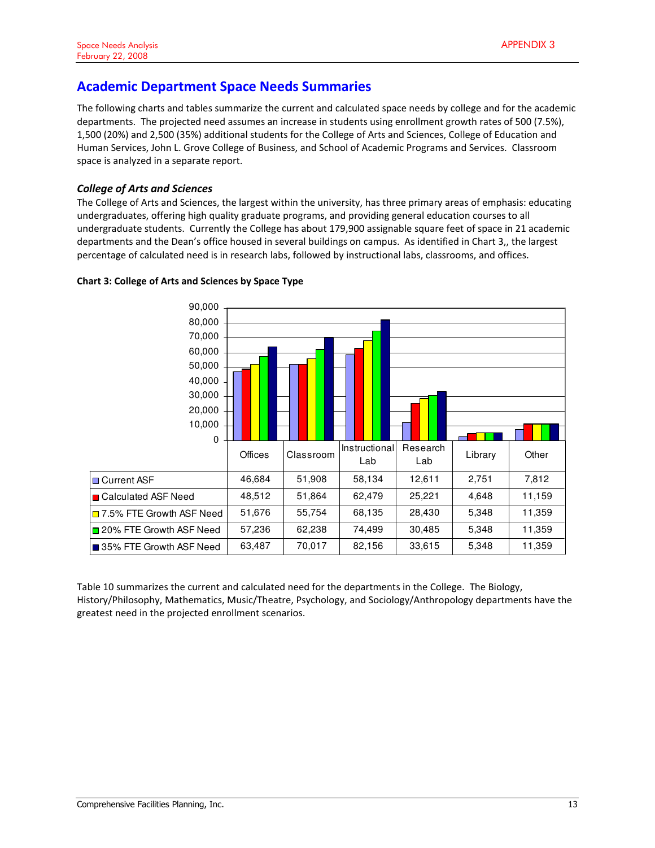## Academic Department Space Needs Summaries

The following charts and tables summarize the current and calculated space needs by college and for the academic departments. The projected need assumes an increase in students using enrollment growth rates of 500 (7.5%), 1,500 (20%) and 2,500 (35%) additional students for the College of Arts and Sciences, College of Education and Human Services, John L. Grove College of Business, and School of Academic Programs and Services. Classroom space is analyzed in a separate report.

## College of Arts and Sciences

The College of Arts and Sciences, the largest within the university, has three primary areas of emphasis: educating undergraduates, offering high quality graduate programs, and providing general education courses to all undergraduate students. Currently the College has about 179,900 assignable square feet of space in 21 academic departments and the Dean's office housed in several buildings on campus. As identified in Chart 3,, the largest percentage of calculated need is in research labs, followed by instructional labs, classrooms, and offices.



#### Chart 3: College of Arts and Sciences by Space Type

Table 10 summarizes the current and calculated need for the departments in the College. The Biology, History/Philosophy, Mathematics, Music/Theatre, Psychology, and Sociology/Anthropology departments have the greatest need in the projected enrollment scenarios.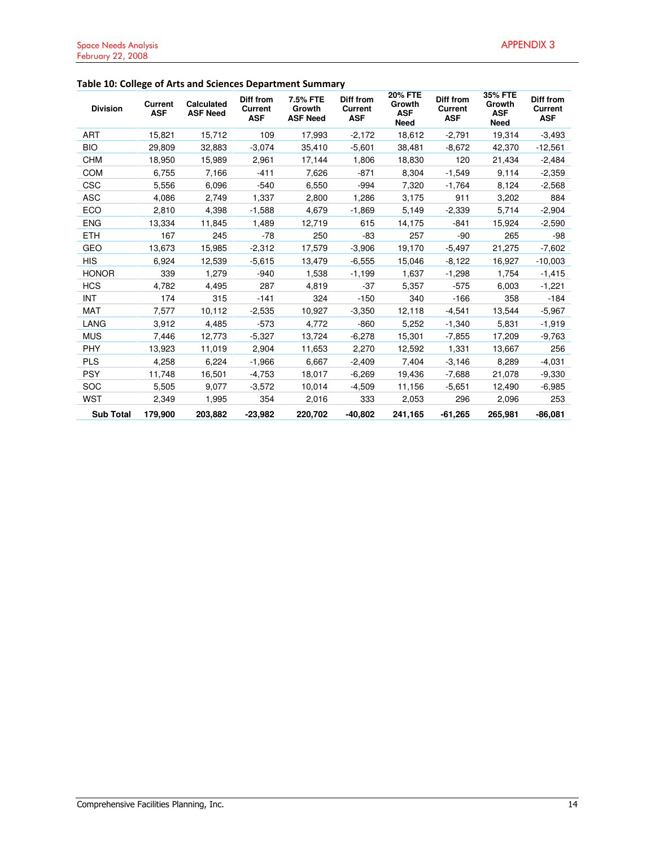| <b>Division</b>  | <b>Current</b><br><b>ASF</b> | <b>Calculated</b><br><b>ASF Need</b> | Diff from<br><b>Current</b><br><b>ASF</b> | 7.5% FTE<br>Growth<br><b>ASF Need</b> | Diff from<br>Current<br><b>ASF</b> | <b>20% FTE</b><br>Growth<br><b>ASF</b><br><b>Need</b> | Diff from<br><b>Current</b><br><b>ASF</b> | <b>35% FTE</b><br>Growth<br><b>ASF</b><br><b>Need</b> | Diff from<br><b>Current</b><br><b>ASF</b> |
|------------------|------------------------------|--------------------------------------|-------------------------------------------|---------------------------------------|------------------------------------|-------------------------------------------------------|-------------------------------------------|-------------------------------------------------------|-------------------------------------------|
| <b>ART</b>       | 15,821                       | 15,712                               | 109                                       | 17,993                                | $-2,172$                           | 18,612                                                | $-2,791$                                  | 19,314                                                | $-3,493$                                  |
| <b>BIO</b>       | 29.809                       | 32,883                               | $-3.074$                                  | 35,410                                | $-5,601$                           | 38.481                                                | $-8.672$                                  | 42.370                                                | $-12,561$                                 |
| <b>CHM</b>       | 18.950                       | 15,989                               | 2,961                                     | 17,144                                | 1,806                              | 18,830                                                | 120                                       | 21,434                                                | $-2,484$                                  |
| <b>COM</b>       | 6,755                        | 7,166                                | $-411$                                    | 7,626                                 | $-871$                             | 8,304                                                 | $-1,549$                                  | 9,114                                                 | $-2,359$                                  |
| <b>CSC</b>       | 5,556                        | 6,096                                | $-540$                                    | 6,550                                 | $-994$                             | 7,320                                                 | $-1,764$                                  | 8,124                                                 | $-2,568$                                  |
| <b>ASC</b>       | 4,086                        | 2,749                                | 1,337                                     | 2,800                                 | 1,286                              | 3,175                                                 | 911                                       | 3,202                                                 | 884                                       |
| <b>ECO</b>       | 2,810                        | 4,398                                | $-1,588$                                  | 4,679                                 | $-1,869$                           | 5,149                                                 | $-2,339$                                  | 5,714                                                 | $-2,904$                                  |
| <b>ENG</b>       | 13,334                       | 11,845                               | 1,489                                     | 12,719                                | 615                                | 14,175                                                | $-841$                                    | 15,924                                                | $-2,590$                                  |
| <b>ETH</b>       | 167                          | 245                                  | $-78$                                     | 250                                   | -83                                | 257                                                   | $-90$                                     | 265                                                   | -98                                       |
| <b>GEO</b>       | 13,673                       | 15,985                               | $-2,312$                                  | 17,579                                | $-3,906$                           | 19,170                                                | $-5,497$                                  | 21,275                                                | $-7,602$                                  |
| <b>HIS</b>       | 6,924                        | 12,539                               | $-5,615$                                  | 13,479                                | $-6,555$                           | 15,046                                                | $-8,122$                                  | 16.927                                                | $-10,003$                                 |
| <b>HONOR</b>     | 339                          | 1,279                                | $-940$                                    | 1,538                                 | $-1,199$                           | 1,637                                                 | $-1,298$                                  | 1,754                                                 | $-1,415$                                  |
| <b>HCS</b>       | 4,782                        | 4,495                                | 287                                       | 4,819                                 | -37                                | 5,357                                                 | $-575$                                    | 6,003                                                 | $-1,221$                                  |
| INT              | 174                          | 315                                  | $-141$                                    | 324                                   | $-150$                             | 340                                                   | $-166$                                    | 358                                                   | $-184$                                    |
| <b>MAT</b>       | 7,577                        | 10,112                               | $-2,535$                                  | 10,927                                | $-3,350$                           | 12,118                                                | $-4,541$                                  | 13,544                                                | $-5,967$                                  |
| LANG             | 3,912                        | 4,485                                | $-573$                                    | 4,772                                 | $-860$                             | 5,252                                                 | $-1,340$                                  | 5,831                                                 | $-1,919$                                  |
| <b>MUS</b>       | 7,446                        | 12,773                               | $-5,327$                                  | 13,724                                | $-6,278$                           | 15,301                                                | $-7,855$                                  | 17,209                                                | $-9,763$                                  |
| <b>PHY</b>       | 13,923                       | 11,019                               | 2,904                                     | 11,653                                | 2,270                              | 12,592                                                | 1,331                                     | 13,667                                                | 256                                       |
| <b>PLS</b>       | 4,258                        | 6,224                                | $-1,966$                                  | 6,667                                 | $-2,409$                           | 7,404                                                 | $-3,146$                                  | 8,289                                                 | $-4,031$                                  |
| <b>PSY</b>       | 11,748                       | 16,501                               | $-4,753$                                  | 18.017                                | $-6,269$                           | 19,436                                                | $-7,688$                                  | 21,078                                                | $-9,330$                                  |
| SOC              | 5,505                        | 9,077                                | $-3,572$                                  | 10,014                                | $-4,509$                           | 11,156                                                | $-5,651$                                  | 12,490                                                | $-6,985$                                  |
| <b>WST</b>       | 2,349                        | 1,995                                | 354                                       | 2,016                                 | 333                                | 2,053                                                 | 296                                       | 2,096                                                 | 253                                       |
| <b>Sub Total</b> | 179.900                      | 203.882                              | $-23.982$                                 | 220.702                               | $-40.802$                          | 241.165                                               | $-61.265$                                 | 265.981                                               | $-86.081$                                 |

## Table 10: College of Arts and Sciences Department Summary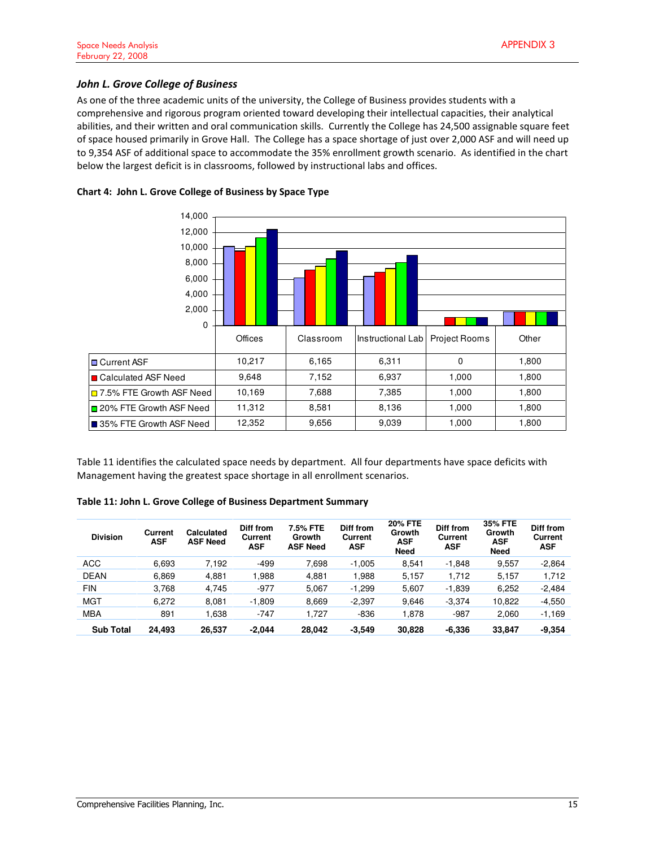### John L. Grove College of Business

As one of the three academic units of the university, the College of Business provides students with a comprehensive and rigorous program oriented toward developing their intellectual capacities, their analytical abilities, and their written and oral communication skills. Currently the College has 24,500 assignable square feet of space housed primarily in Grove Hall. The College has a space shortage of just over 2,000 ASF and will need up to 9,354 ASF of additional space to accommodate the 35% enrollment growth scenario. As identified in the chart below the largest deficit is in classrooms, followed by instructional labs and offices.





Table 11 identifies the calculated space needs by department. All four departments have space deficits with Management having the greatest space shortage in all enrollment scenarios.

|  |  |  | Table 11: John L. Grove College of Business Department Summary |
|--|--|--|----------------------------------------------------------------|
|--|--|--|----------------------------------------------------------------|

| <b>Division</b>  | Current<br><b>ASF</b> | <b>Calculated</b><br><b>ASF Need</b> | Diff from<br>Current<br><b>ASF</b> | 7.5% FTE<br>Growth<br><b>ASF Need</b> | Diff from<br>Current<br><b>ASF</b> | <b>20% FTE</b><br>Growth<br><b>ASF</b><br><b>Need</b> | Diff from<br>Current<br><b>ASF</b> | <b>35% FTE</b><br>Growth<br><b>ASF</b><br><b>Need</b> | Diff from<br>Current<br><b>ASF</b> |
|------------------|-----------------------|--------------------------------------|------------------------------------|---------------------------------------|------------------------------------|-------------------------------------------------------|------------------------------------|-------------------------------------------------------|------------------------------------|
| <b>ACC</b>       | 6.693                 | 7,192                                | $-499$                             | 7,698                                 | $-1.005$                           | 8.541                                                 | $-1.848$                           | 9,557                                                 | $-2,864$                           |
| <b>DEAN</b>      | 6,869                 | 4,881                                | 1,988                              | 4,881                                 | 1.988                              | 5,157                                                 | 1,712                              | 5,157                                                 | 1,712                              |
| <b>FIN</b>       | 3.768                 | 4.745                                | $-977$                             | 5.067                                 | $-1.299$                           | 5.607                                                 | $-1,839$                           | 6,252                                                 | $-2,484$                           |
| <b>MGT</b>       | 6,272                 | 8,081                                | $-1,809$                           | 8,669                                 | $-2,397$                           | 9.646                                                 | $-3,374$                           | 10,822                                                | $-4,550$                           |
| <b>MBA</b>       | 891                   | 1,638                                | $-747$                             | 1.727                                 | $-836$                             | 1,878                                                 | $-987$                             | 2,060                                                 | $-1,169$                           |
| <b>Sub Total</b> | 24.493                | 26,537                               | $-2.044$                           | 28.042                                | $-3.549$                           | 30,828                                                | $-6,336$                           | 33.847                                                | $-9.354$                           |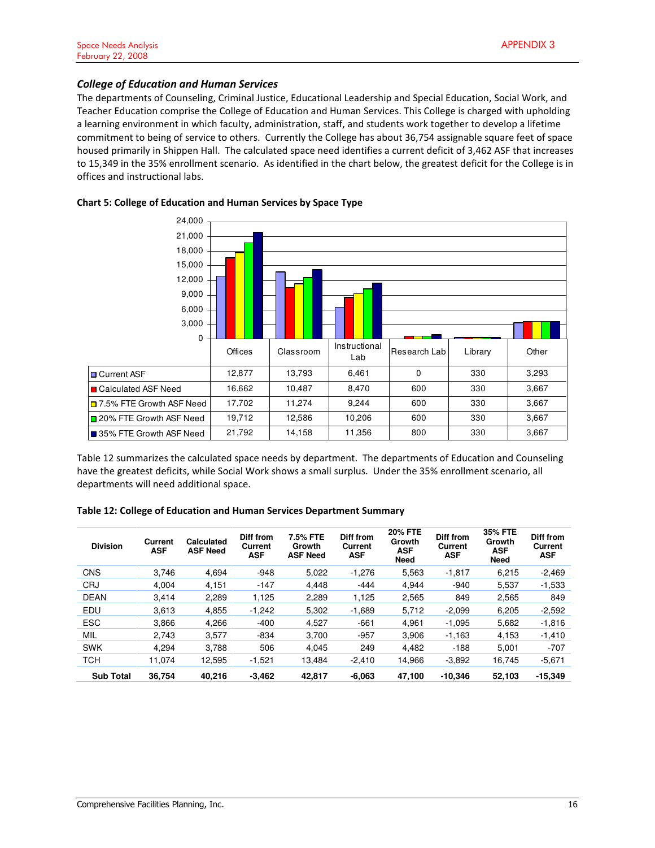#### College of Education and Human Services

The departments of Counseling, Criminal Justice, Educational Leadership and Special Education, Social Work, and Teacher Education comprise the College of Education and Human Services. This College is charged with upholding a learning environment in which faculty, administration, staff, and students work together to develop a lifetime commitment to being of service to others. Currently the College has about 36,754 assignable square feet of space housed primarily in Shippen Hall. The calculated space need identifies a current deficit of 3,462 ASF that increases to 15,349 in the 35% enrollment scenario. As identified in the chart below, the greatest deficit for the College is in offices and instructional labs.



#### Chart 5: College of Education and Human Services by Space Type

Table 12 summarizes the calculated space needs by department. The departments of Education and Counseling have the greatest deficits, while Social Work shows a small surplus. Under the 35% enrollment scenario, all departments will need additional space.

#### Table 12: College of Education and Human Services Department Summary

| <b>Division</b>  | Current<br><b>ASF</b> | Calculated<br><b>ASF Need</b> | <b>Diff from</b><br>Current<br><b>ASF</b> | 7.5% FTE<br>Growth<br><b>ASF Need</b> | Diff from<br>Current<br><b>ASF</b> | <b>20% FTE</b><br>Growth<br><b>ASF</b><br><b>Need</b> | Diff from<br>Current<br><b>ASF</b> | <b>35% FTE</b><br>Growth<br><b>ASF</b><br><b>Need</b> | Diff from<br>Current<br><b>ASF</b> |
|------------------|-----------------------|-------------------------------|-------------------------------------------|---------------------------------------|------------------------------------|-------------------------------------------------------|------------------------------------|-------------------------------------------------------|------------------------------------|
| <b>CNS</b>       | 3.746                 | 4.694                         | $-948$                                    | 5,022                                 | $-1,276$                           | 5,563                                                 | $-1,817$                           | 6,215                                                 | $-2,469$                           |
| <b>CRJ</b>       | 4.004                 | 4,151                         | $-147$                                    | 4.448                                 | $-444$                             | 4.944                                                 | $-940$                             | 5,537                                                 | $-1,533$                           |
| <b>DEAN</b>      | 3,414                 | 2,289                         | 1.125                                     | 2,289                                 | 1.125                              | 2,565                                                 | 849                                | 2,565                                                 | 849                                |
| EDU              | 3.613                 | 4.855                         | $-1,242$                                  | 5,302                                 | $-1,689$                           | 5,712                                                 | $-2,099$                           | 6.205                                                 | $-2,592$                           |
| <b>ESC</b>       | 3.866                 | 4.266                         | $-400$                                    | 4,527                                 | $-661$                             | 4.961                                                 | $-1.095$                           | 5,682                                                 | $-1,816$                           |
| MIL              | 2.743                 | 3,577                         | $-834$                                    | 3.700                                 | $-957$                             | 3.906                                                 | $-1.163$                           | 4.153                                                 | $-1,410$                           |
| <b>SWK</b>       | 4.294                 | 3.788                         | 506                                       | 4.045                                 | 249                                | 4.482                                                 | $-188$                             | 5.001                                                 | $-707$                             |
| <b>TCH</b>       | 11.074                | 12,595                        | $-1,521$                                  | 13.484                                | $-2,410$                           | 14.966                                                | $-3,892$                           | 16.745                                                | $-5,671$                           |
| <b>Sub Total</b> | 36.754                | 40.216                        | $-3.462$                                  | 42.817                                | $-6.063$                           | 47.100                                                | $-10.346$                          | 52.103                                                | $-15.349$                          |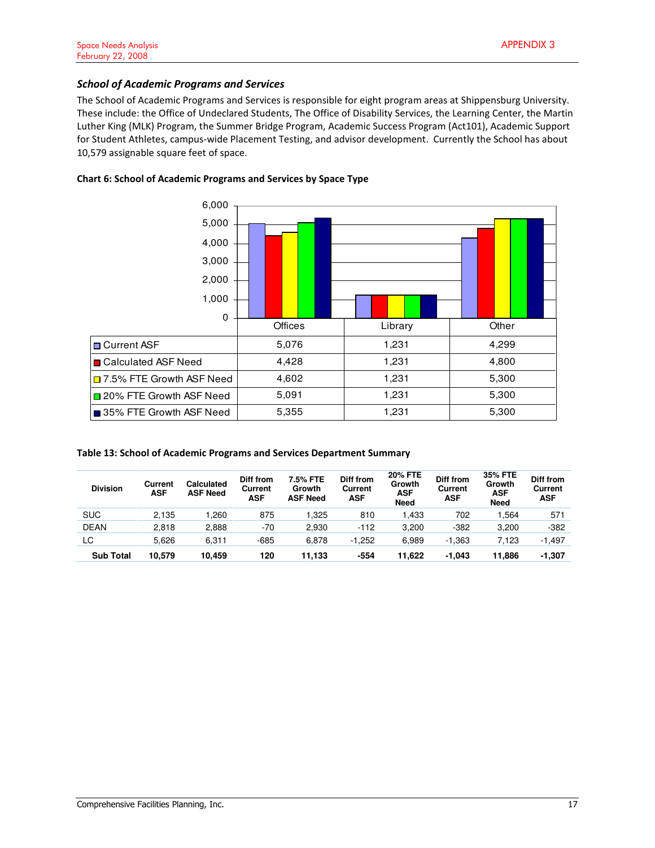### School of Academic Programs and Services

The School of Academic Programs and Services is responsible for eight program areas at Shippensburg University. These include: the Office of Undeclared Students, The Office of Disability Services, the Learning Center, the Martin Luther King (MLK) Program, the Summer Bridge Program, Academic Success Program (Act101), Academic Support for Student Athletes, campus-wide Placement Testing, and advisor development. Currently the School has about 10,579 assignable square feet of space.



#### Chart 6: School of Academic Programs and Services by Space Type

#### Table 13: School of Academic Programs and Services Department Summary

| <b>Division</b>  | Current<br><b>ASF</b> | <b>Calculated</b><br><b>ASF Need</b> | Diff from<br>Current<br><b>ASF</b> | 7.5% FTE<br>Growth<br><b>ASF Need</b> | Diff from<br><b>Current</b><br><b>ASF</b> | <b>20% FTE</b><br>Growth<br><b>ASF</b><br><b>Need</b> | Diff from<br>Current<br><b>ASF</b> | <b>35% FTE</b><br>Growth<br><b>ASF</b><br><b>Need</b> | Diff from<br>Current<br><b>ASF</b> |
|------------------|-----------------------|--------------------------------------|------------------------------------|---------------------------------------|-------------------------------------------|-------------------------------------------------------|------------------------------------|-------------------------------------------------------|------------------------------------|
| <b>SUC</b>       | 2.135                 | 1.260                                | 875                                | 1.325                                 | 810                                       | .433                                                  | 702                                | .564                                                  | 571                                |
| <b>DEAN</b>      | 2,818                 | 2,888                                | -70                                | 2.930                                 | $-112$                                    | 3,200                                                 | $-382$                             | 3,200                                                 | $-382$                             |
| LC               | 5.626                 | 6,311                                | -685                               | 6,878                                 | $-1.252$                                  | 6,989                                                 | $-1,363$                           | 7.123                                                 | $-1,497$                           |
| <b>Sub Total</b> | 10,579                | 10.459                               | 120                                | 11.133                                | $-554$                                    | 11,622                                                | $-1.043$                           | 11,886                                                | -1,307                             |